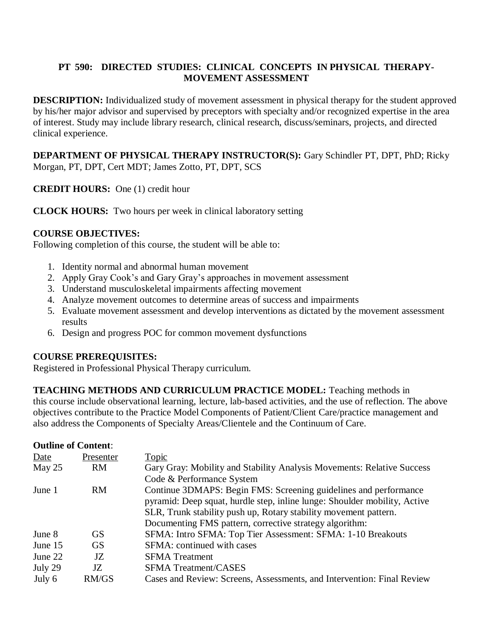### **PT 590: DIRECTED STUDIES: CLINICAL CONCEPTS IN PHYSICAL THERAPY-MOVEMENT ASSESSMENT**

**DESCRIPTION:** Individualized study of movement assessment in physical therapy for the student approved by his/her major advisor and supervised by preceptors with specialty and/or recognized expertise in the area of interest. Study may include library research, clinical research, discuss/seminars, projects, and directed clinical experience.

**DEPARTMENT OF PHYSICAL THERAPY INSTRUCTOR(S):** Gary Schindler PT, DPT, PhD; Ricky Morgan, PT, DPT, Cert MDT; James Zotto, PT, DPT, SCS

**CREDIT HOURS:** One (1) credit hour

**CLOCK HOURS:** Two hours per week in clinical laboratory setting

### **COURSE OBJECTIVES:**

Following completion of this course, the student will be able to:

- 1. Identity normal and abnormal human movement
- 2. Apply Gray Cook's and Gary Gray's approaches in movement assessment
- 3. Understand musculoskeletal impairments affecting movement
- 4. Analyze movement outcomes to determine areas of success and impairments
- 5. Evaluate movement assessment and develop interventions as dictated by the movement assessment results
- 6. Design and progress POC for common movement dysfunctions

#### **COURSE PREREQUISITES:**

Registered in Professional Physical Therapy curriculum.

**TEACHING METHODS AND CURRICULUM PRACTICE MODEL:** Teaching methods in this course include observational learning, lecture, lab-based activities, and the use of reflection. The above objectives contribute to the Practice Model Components of Patient/Client Care/practice management and also address the Components of Specialty Areas/Clientele and the Continuum of Care.

#### **Outline of Content**:

| Date     | Presenter | <b>Topic</b>                                                              |
|----------|-----------|---------------------------------------------------------------------------|
| May $25$ | <b>RM</b> | Gary Gray: Mobility and Stability Analysis Movements: Relative Success    |
|          |           | Code & Performance System                                                 |
| June 1   | <b>RM</b> | Continue 3DMAPS: Begin FMS: Screening guidelines and performance          |
|          |           | pyramid: Deep squat, hurdle step, inline lunge: Shoulder mobility, Active |
|          |           | SLR, Trunk stability push up, Rotary stability movement pattern.          |
|          |           | Documenting FMS pattern, corrective strategy algorithm:                   |
| June 8   | <b>GS</b> | SFMA: Intro SFMA: Top Tier Assessment: SFMA: 1-10 Breakouts               |
| June 15  | <b>GS</b> | SFMA: continued with cases                                                |
| June 22  | JZ.       | <b>SFMA</b> Treatment                                                     |
| July 29  | JZ.       | <b>SFMA Treatment/CASES</b>                                               |
| July 6   | RM/GS     | Cases and Review: Screens, Assessments, and Intervention: Final Review    |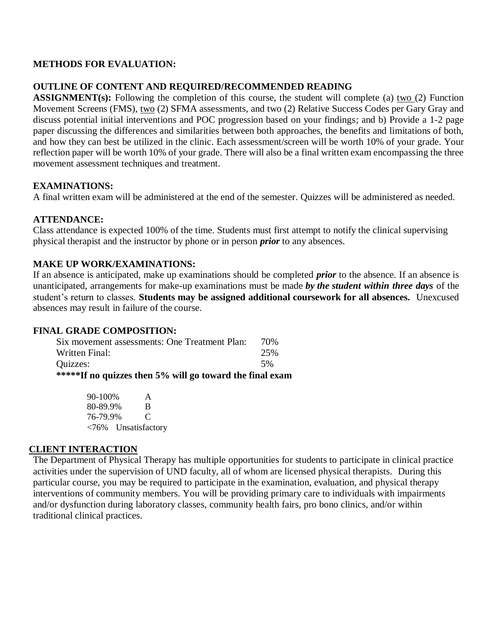### **METHODS FOR EVALUATION:**

### **OUTLINE OF CONTENT AND REQUIRED/RECOMMENDED READING**

**ASSIGNMENT(s):** Following the completion of this course, the student will complete (a) two (2) Function Movement Screens (FMS), two (2) SFMA assessments, and two (2) Relative Success Codes per Gary Gray and discuss potential initial interventions and POC progression based on your findings; and b) Provide a 1-2 page paper discussing the differences and similarities between both approaches, the benefits and limitations of both, and how they can best be utilized in the clinic. Each assessment/screen will be worth 10% of your grade. Your reflection paper will be worth 10% of your grade. There will also be a final written exam encompassing the three movement assessment techniques and treatment.

### **EXAMINATIONS:**

A final written exam will be administered at the end of the semester. Quizzes will be administered as needed.

### **ATTENDANCE:**

Class attendance is expected 100% of the time. Students must first attempt to notify the clinical supervising physical therapist and the instructor by phone or in person *prior* to any absences.

### **MAKE UP WORK/EXAMINATIONS:**

If an absence is anticipated, make up examinations should be completed *prior* to the absence. If an absence is unanticipated, arrangements for make-up examinations must be made *by the student within three days* of the student's return to classes. **Students may be assigned additional coursework for all absences.** Unexcused absences may result in failure of the course.

#### **FINAL GRADE COMPOSITION:**

| *****If no quizzes then 5% will go toward the final exam |      |
|----------------------------------------------------------|------|
| Ouizzes:                                                 | 5%   |
| Written Final:                                           | 25%  |
| Six movement assessments: One Treatment Plan:            | 70\% |

90-100% A 80-89.9% B 76-79.9% C <76% Unsatisfactory

#### **CLIENT INTERACTION**

The Department of Physical Therapy has multiple opportunities for students to participate in clinical practice activities under the supervision of UND faculty, all of whom are licensed physical therapists. During this particular course, you may be required to participate in the examination, evaluation, and physical therapy interventions of community members. You will be providing primary care to individuals with impairments and/or dysfunction during laboratory classes, community health fairs, pro bono clinics, and/or within traditional clinical practices.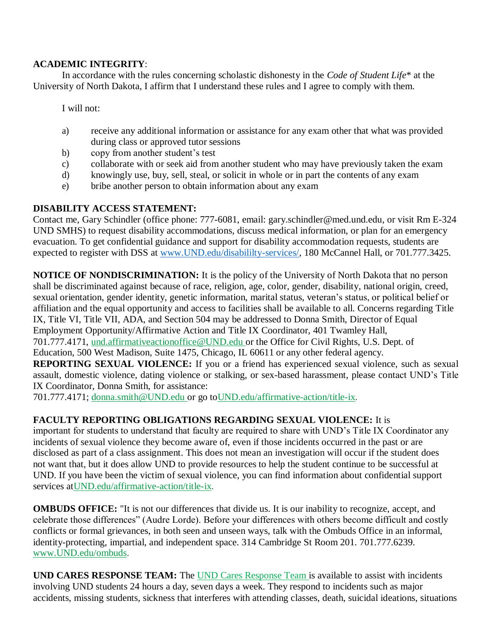### **ACADEMIC INTEGRITY**:

In accordance with the rules concerning scholastic dishonesty in the *Code of Student Life*\* at the University of North Dakota, I affirm that I understand these rules and I agree to comply with them.

I will not:

- a) receive any additional information or assistance for any exam other that what was provided during class or approved tutor sessions
- b) copy from another student's test
- c) collaborate with or seek aid from another student who may have previously taken the exam
- d) knowingly use, buy, sell, steal, or solicit in whole or in part the contents of any exam
- e) bribe another person to obtain information about any exam

## **DISABILITY ACCESS STATEMENT:**

Contact me, Gary Schindler (office phone: 777-6081, email: gary.schindler@med.und.edu, or visit Rm E-324 UND SMHS) to request disability accommodations, discuss medical information, or plan for an emergency evacuation. To get confidential guidance and support for disability accommodation requests, students are expected to register with DSS at [www.UND.edu/disabililty-services/,](http://www.und.edu/disabililty-services/) 180 McCannel Hall, or 701.777.3425.

**NOTICE OF NONDISCRIMINATION:** It is the policy of the University of North Dakota that no person shall be discriminated against because of race, religion, age, color, gender, disability, national origin, creed, sexual orientation, gender identity, genetic information, marital status, veteran's status, or political belief or affiliation and the equal opportunity and access to facilities shall be available to all. Concerns regarding Title IX, Title VI, Title VII, ADA, and Section 504 may be addressed to Donna Smith, Director of Equal Employment Opportunity/Affirmative Action and Title IX Coordinator, 401 Twamley Hall, 701.777.4171, [und.affirmativeactionoffice@UND.edu o](mailto:und.affirmativeactionoffice@UND.edu)r the Office for Civil Rights, U.S. Dept. of Education, 500 West Madison, Suite 1475, Chicago, IL 60611 or any other federal agency.

**REPORTING SEXUAL VIOLENCE:** If you or a friend has experienced sexual violence, such as sexual assault, domestic violence, dating violence or stalking, or sex-based harassment, please contact UND's Title IX Coordinator, Donna Smith, for assistance:

701.777.4171; [donna.smith@UND.edu o](mailto:donna.smith@UND.edu)r go t[oUND.edu/affirmative-action/title-ix.](http://und.edu/affirmative-action/title-ix/index.cfm)

# **FACULTY REPORTING OBLIGATIONS REGARDING SEXUAL VIOLENCE:** It is

important for students to understand that faculty are required to share with UND's Title IX Coordinator any incidents of sexual violence they become aware of, even if those incidents occurred in the past or are disclosed as part of a class assignment. This does not mean an investigation will occur if the student does not want that, but it does allow UND to provide resources to help the student continue to be successful at UND. If you have been the victim of sexual violence, you can find information about confidential support services a[tUND.edu/affirmative-action/title-ix.](http://und.edu/affirmative-action/title-ix/index.cfm)

**OMBUDS OFFICE:** "It is not our differences that divide us. It is our inability to recognize, accept, and celebrate those differences" (Audre Lorde). Before your differences with others become difficult and costly conflicts or formal grievances, in both seen and unseen ways, talk with the Ombuds Office in an informal, identity-protecting, impartial, and independent space. 314 Cambridge St Room 201. 701.777.6239. [www.UND.edu/ombuds.](http://www.und.edu/ombuds)

**UND CARES RESPONSE TEAM:** The [UND Cares Response Team i](http://und.edu/student-affairs/student-rights-responsibilities/care-team.cfm)s available to assist with incidents involving UND students 24 hours a day, seven days a week. They respond to incidents such as major accidents, missing students, sickness that interferes with attending classes, death, suicidal ideations, situations